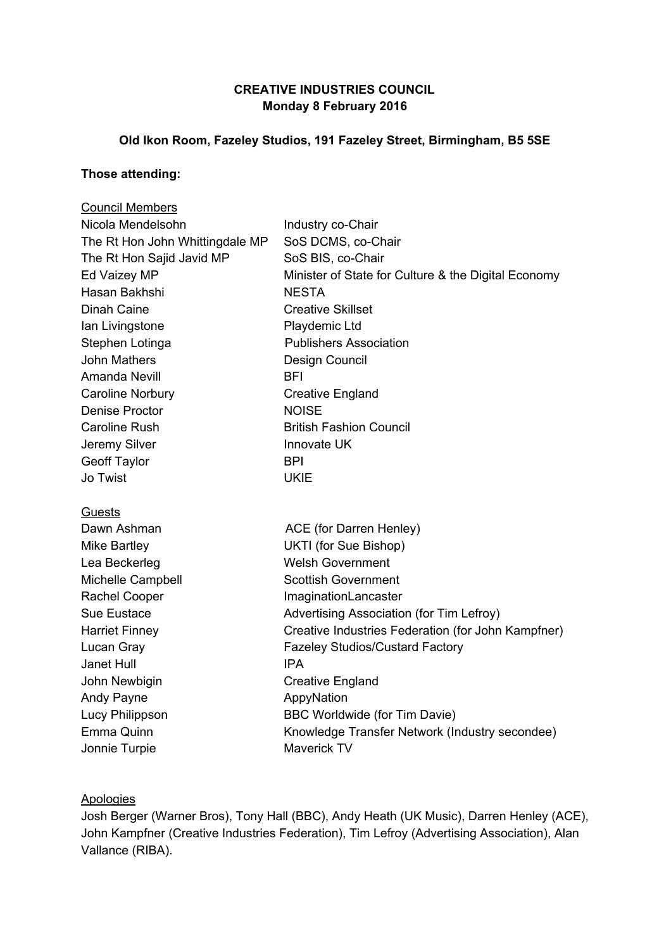# **CREATIVE INDUSTRIES COUNCIL Monday 8 February 2016**

## **Old Ikon Room, Fazeley Studios, 191 Fazeley Street, Birmingham, B5 5SE**

### **Those attending:**

| <b>Council Members</b>          |                                                     |
|---------------------------------|-----------------------------------------------------|
| Nicola Mendelsohn               | Industry co-Chair                                   |
| The Rt Hon John Whittingdale MP | SoS DCMS, co-Chair                                  |
| The Rt Hon Sajid Javid MP       | SoS BIS, co-Chair                                   |
| Ed Vaizey MP                    | Minister of State for Culture & the Digital Economy |
| Hasan Bakhshi                   | <b>NESTA</b>                                        |
| <b>Dinah Caine</b>              | <b>Creative Skillset</b>                            |
| Ian Livingstone                 | Playdemic Ltd                                       |
| Stephen Lotinga                 | <b>Publishers Association</b>                       |
| <b>John Mathers</b>             | Design Council                                      |
| Amanda Nevill                   | BFI                                                 |
| <b>Caroline Norbury</b>         | <b>Creative England</b>                             |
| <b>Denise Proctor</b>           | <b>NOISE</b>                                        |
| <b>Caroline Rush</b>            | <b>British Fashion Council</b>                      |
| Jeremy Silver                   | Innovate UK                                         |
| <b>Geoff Taylor</b>             | <b>BPI</b>                                          |
| Jo Twist                        | <b>UKIE</b>                                         |
| <b>Guests</b>                   |                                                     |
| Dawn Ashman                     | ACE (for Darren Henley)                             |
| <b>Mike Bartley</b>             | UKTI (for Sue Bishop)                               |
| Lea Beckerleg                   | <b>Welsh Government</b>                             |
| Michelle Campbell               | <b>Scottish Government</b>                          |
| <b>Rachel Cooper</b>            | ImaginationLancaster                                |
| Sue Eustace                     | Advertising Association (for Tim Lefroy)            |
| <b>Harriet Finney</b>           | Creative Industries Federation (for John Kampfner)  |
| Lucan Gray                      | <b>Fazeley Studios/Custard Factory</b>              |
| Janet Hull                      | <b>IPA</b>                                          |
| John Newbigin                   | <b>Creative England</b>                             |
| Andy Payne                      | AppyNation                                          |
| Lucy Philippson                 | BBC Worldwide (for Tim Davie)                       |
| Emma Quinn                      | Knowledge Transfer Network (Industry secondee)      |
| Jonnie Turpie                   | Maverick TV                                         |

### **Apologies**

Josh Berger (Warner Bros), Tony Hall (BBC), Andy Heath (UK Music), Darren Henley (ACE), John Kampfner (Creative Industries Federation), Tim Lefroy (Advertising Association), Alan Vallance (RIBA).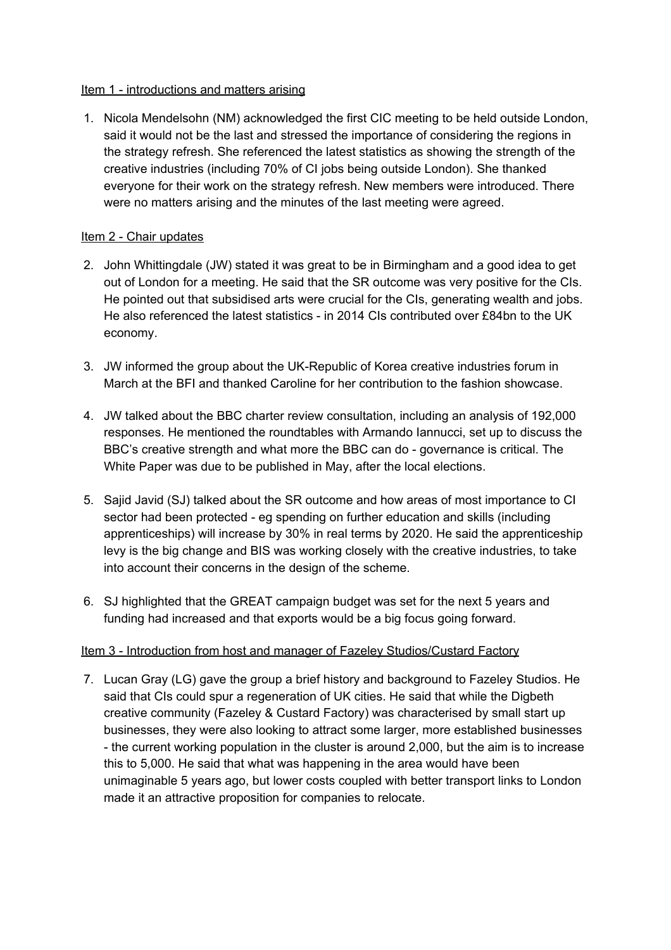### Item 1 - introductions and matters arising

1. Nicola Mendelsohn (NM) acknowledged the first CIC meeting to be held outside London, said it would not be the last and stressed the importance of considering the regions in the strategy refresh. She referenced the latest statistics as showing the strength of the creative industries (including 70% of CI jobs being outside London). She thanked everyone for their work on the strategy refresh. New members were introduced. There were no matters arising and the minutes of the last meeting were agreed.

## Item 2 - Chair updates

- 2. John Whittingdale (JW) stated it was great to be in Birmingham and a good idea to get out of London for a meeting. He said that the SR outcome was very positive for the CIs. He pointed out that subsidised arts were crucial for the CIs, generating wealth and jobs. He also referenced the latest statistics - in 2014 CIs contributed over £84bn to the UK economy.
- 3. JW informed the group about the UK-Republic of Korea creative industries forum in March at the BFI and thanked Caroline for her contribution to the fashion showcase.
- 4. JW talked about the BBC charter review consultation, including an analysis of 192,000 responses. He mentioned the roundtables with Armando Iannucci, set up to discuss the BBC's creative strength and what more the BBC can do - governance is critical. The White Paper was due to be published in May, after the local elections.
- 5. Sajid Javid (SJ) talked about the SR outcome and how areas of most importance to CI sector had been protected - eg spending on further education and skills (including apprenticeships) will increase by 30% in real terms by 2020. He said the apprenticeship levy is the big change and BIS was working closely with the creative industries, to take into account their concerns in the design of the scheme.
- 6. SJ highlighted that the GREAT campaign budget was set for the next 5 years and funding had increased and that exports would be a big focus going forward.

# Item 3 - Introduction from host and manager of Fazeley Studios/Custard Factory

7. Lucan Gray (LG) gave the group a brief history and background to Fazeley Studios. He said that CIs could spur a regeneration of UK cities. He said that while the Digbeth creative community (Fazeley & Custard Factory) was characterised by small start up businesses, they were also looking to attract some larger, more established businesses - the current working population in the cluster is around 2,000, but the aim is to increase this to 5,000. He said that what was happening in the area would have been unimaginable 5 years ago, but lower costs coupled with better transport links to London made it an attractive proposition for companies to relocate.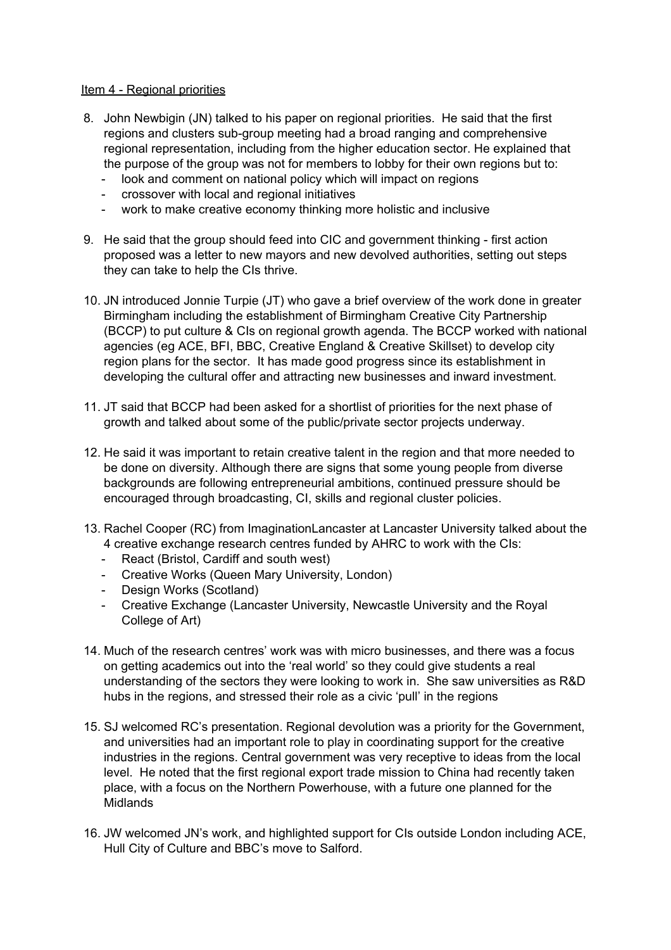#### Item 4 - Regional priorities

- 8. John Newbigin (JN) talked to his paper on regional priorities. He said that the first regions and clusters sub-group meeting had a broad ranging and comprehensive regional representation, including from the higher education sector. He explained that the purpose of the group was not for members to lobby for their own regions but to:
	- look and comment on national policy which will impact on regions
	- crossover with local and regional initiatives
	- work to make creative economy thinking more holistic and inclusive
- 9. He said that the group should feed into CIC and government thinking first action proposed was a letter to new mayors and new devolved authorities, setting out steps they can take to help the CIs thrive.
- 10. JN introduced Jonnie Turpie (JT) who gave a brief overview of the work done in greater Birmingham including the establishment of Birmingham Creative City Partnership (BCCP) to put culture & CIs on regional growth agenda. The BCCP worked with national agencies (eg ACE, BFI, BBC, Creative England & Creative Skillset) to develop city region plans for the sector. It has made good progress since its establishment in developing the cultural offer and attracting new businesses and inward investment.
- 11. JT said that BCCP had been asked for a shortlist of priorities for the next phase of growth and talked about some of the public/private sector projects underway.
- 12. He said it was important to retain creative talent in the region and that more needed to be done on diversity. Although there are signs that some young people from diverse backgrounds are following entrepreneurial ambitions, continued pressure should be encouraged through broadcasting, CI, skills and regional cluster policies.
- 13. Rachel Cooper (RC) from ImaginationLancaster at Lancaster University talked about the 4 creative exchange research centres funded by AHRC to work with the CIs:
	- React (Bristol, Cardiff and south west)
	- Creative Works (Queen Mary University, London)
	- Design Works (Scotland)
	- Creative Exchange (Lancaster University, Newcastle University and the Royal College of Art)
- 14. Much of the research centres' work was with micro businesses, and there was a focus on getting academics out into the 'real world' so they could give students a real understanding of the sectors they were looking to work in. She saw universities as R&D hubs in the regions, and stressed their role as a civic 'pull' in the regions
- 15. SJ welcomed RC's presentation. Regional devolution was a priority for the Government, and universities had an important role to play in coordinating support for the creative industries in the regions. Central government was very receptive to ideas from the local level. He noted that the first regional export trade mission to China had recently taken place, with a focus on the Northern Powerhouse, with a future one planned for the **Midlands**
- 16. JW welcomed JN's work, and highlighted support for CIs outside London including ACE, Hull City of Culture and BBC's move to Salford.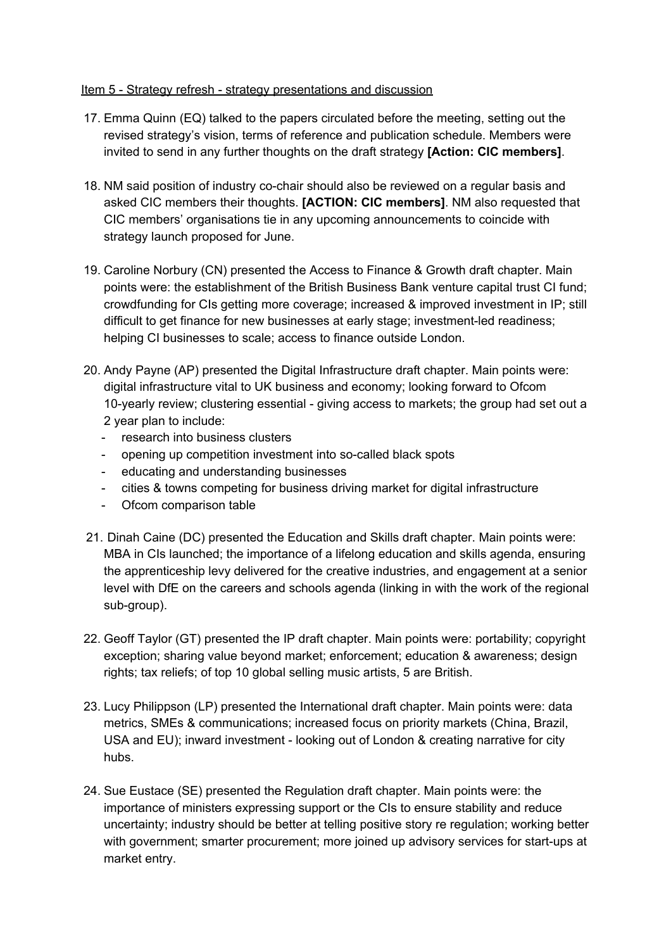### Item 5 - Strategy refresh - strategy presentations and discussion

- 17. Emma Quinn (EQ) talked to the papers circulated before the meeting, setting out the revised strategy's vision, terms of reference and publication schedule. Members were invited to send in any further thoughts on the draft strategy **[Action: CIC members]**.
- 18. NM said position of industry co-chair should also be reviewed on a regular basis and asked CIC members their thoughts. **[ACTION: CIC members]**. NM also requested that CIC members' organisations tie in any upcoming announcements to coincide with strategy launch proposed for June.
- 19. Caroline Norbury (CN) presented the Access to Finance & Growth draft chapter. Main points were: the establishment of the British Business Bank venture capital trust CI fund; crowdfunding for CIs getting more coverage; increased & improved investment in IP; still difficult to get finance for new businesses at early stage; investment-led readiness; helping CI businesses to scale; access to finance outside London.
- 20. Andy Payne (AP) presented the Digital Infrastructure draft chapter. Main points were: digital infrastructure vital to UK business and economy; looking forward to Ofcom 10-yearly review; clustering essential - giving access to markets; the group had set out a 2 year plan to include:
	- research into business clusters
	- opening up competition investment into so-called black spots
	- educating and understanding businesses
	- cities & towns competing for business driving market for digital infrastructure
	- Ofcom comparison table
- 21. Dinah Caine (DC) presented the Education and Skills draft chapter. Main points were: MBA in CIs launched; the importance of a lifelong education and skills agenda, ensuring the apprenticeship levy delivered for the creative industries, and engagement at a senior level with DfE on the careers and schools agenda (linking in with the work of the regional sub-group).
- 22. Geoff Taylor (GT) presented the IP draft chapter. Main points were: portability; copyright exception; sharing value beyond market; enforcement; education & awareness; design rights; tax reliefs; of top 10 global selling music artists, 5 are British.
- 23. Lucy Philippson (LP) presented the International draft chapter. Main points were: data metrics, SMEs & communications; increased focus on priority markets (China, Brazil, USA and EU); inward investment - looking out of London & creating narrative for city hubs.
- 24. Sue Eustace (SE) presented the Regulation draft chapter. Main points were: the importance of ministers expressing support or the CIs to ensure stability and reduce uncertainty; industry should be better at telling positive story re regulation; working better with government; smarter procurement; more joined up advisory services for start-ups at market entry.